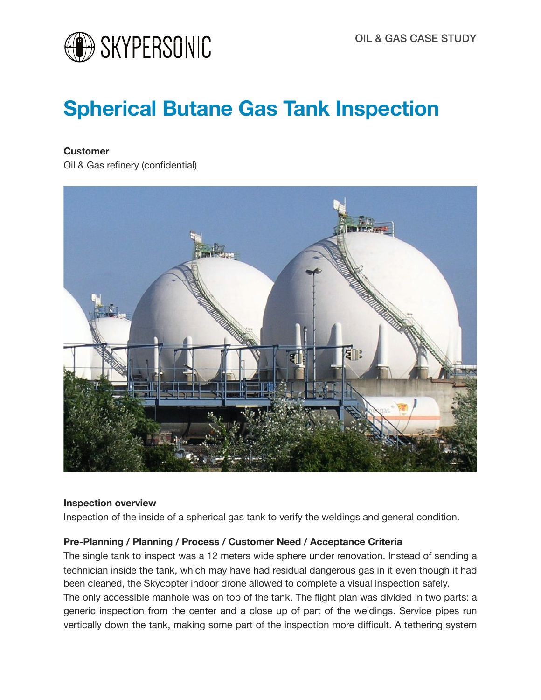

# **Spherical Butane Gas Tank Inspection**

#### **Customer**

Oil & Gas refinery (confidential)



#### **Inspection overview**

Inspection of the inside of a spherical gas tank to verify the weldings and general condition.

## **Pre-Planning / Planning / Process / Customer Need / Acceptance Criteria**

The single tank to inspect was a 12 meters wide sphere under renovation. Instead of sending a technician inside the tank, which may have had residual dangerous gas in it even though it had been cleaned, the Skycopter indoor drone allowed to complete a visual inspection safely. The only accessible manhole was on top of the tank. The flight plan was divided in two parts: a generic inspection from the center and a close up of part of the weldings. Service pipes run vertically down the tank, making some part of the inspection more difficult. A tethering system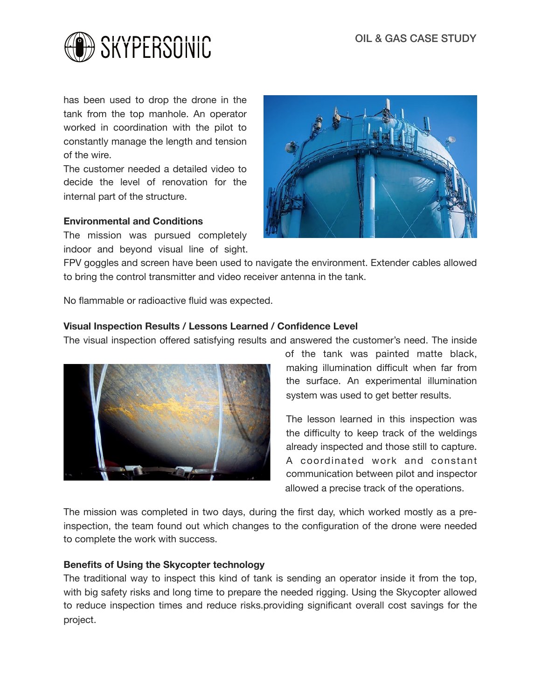

has been used to drop the drone in the tank from the top manhole. An operator worked in coordination with the pilot to constantly manage the length and tension of the wire.

The customer needed a detailed video to decide the level of renovation for the internal part of the structure.

#### **Environmental and Conditions**

The mission was pursued completely indoor and beyond visual line of sight.



FPV goggles and screen have been used to navigate the environment. Extender cables allowed to bring the control transmitter and video receiver antenna in the tank.

No flammable or radioactive fluid was expected.

## **Visual Inspection Results / Lessons Learned / Confidence Level**

The visual inspection offered satisfying results and answered the customer's need. The inside



of the tank was painted matte black, making illumination difficult when far from the surface. An experimental illumination system was used to get better results.

The lesson learned in this inspection was the difficulty to keep track of the weldings already inspected and those still to capture. A coordinated work and constant communication between pilot and inspector allowed a precise track of the operations.

The mission was completed in two days, during the first day, which worked mostly as a preinspection, the team found out which changes to the configuration of the drone were needed to complete the work with success.

#### **Benefits of Using the Skycopter technology**

The traditional way to inspect this kind of tank is sending an operator inside it from the top, with big safety risks and long time to prepare the needed rigging. Using the Skycopter allowed to reduce inspection times and reduce risks.providing significant overall cost savings for the project.